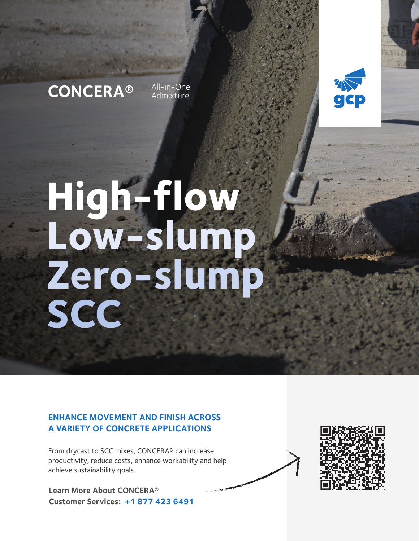## **CONCERA<sup>®</sup>**  $\frac{\text{All-in}-\text{One}}{\text{Admixture}}$

Admixture



# **High-flow Low-slump Zero-slump SCC**

#### **ENHANCE MOVEMENT AND FINISH ACROSS A VARIETY OF CONCRETE APPLICATIONS**

From drycast to SCC mixes, CONCERA® can increase productivity, reduce costs, enhance workability and help achieve sustainability goals.

**Learn More About CONCERA® Customer Services: +1 877 423 6491**